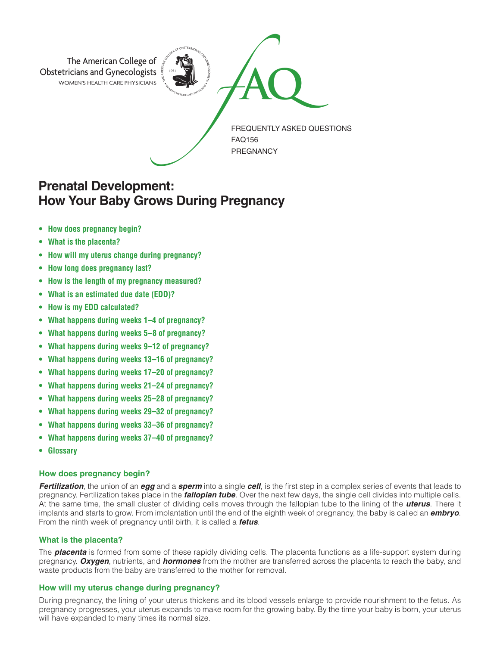

# **Prenatal Development: How Your Baby Grows During Pregnancy**

- **• How does pregnancy begin?**
- **• What is the placenta?**
- **• How will my uterus change during pregnancy?**
- **• How long does pregnancy last?**
- **• How is the length of my pregnancy measured?**
- **• What is an estimated due date (EDD)?**
- **• How is my EDD calculated?**
- **• What happens during weeks 1–4 of pregnancy?**
- **• What happens during weeks 5–8 of pregnancy?**
- **• What happens during weeks 9–12 of pregnancy?**
- **• What happens during weeks 13–16 of pregnancy?**
- **• What happens during weeks 17–20 of pregnancy?**
- **• What happens during weeks 21–24 of pregnancy?**
- **• What happens during weeks 25–28 of pregnancy?**
- **• What happens during weeks 29–32 of pregnancy?**
- **• What happens during weeks 33–36 of pregnancy?**
- **• What happens during weeks 37–40 of pregnancy?**
- **• Glossary**

## **How does pregnancy begin?**

*Fertilization*, the union of an *egg* and a *sperm* into a single *cell*, is the first step in a complex series of events that leads to pregnancy. Fertilization takes place in the *fallopian tube*. Over the next few days, the single cell divides into multiple cells. At the same time, the small cluster of dividing cells moves through the fallopian tube to the lining of the *uterus*. There it implants and starts to grow. From implantation until the end of the eighth week of pregnancy, the baby is called an *embryo*. From the ninth week of pregnancy until birth, it is called a *fetus*.

## **What is the placenta?**

The *placenta* is formed from some of these rapidly dividing cells. The placenta functions as a life-support system during pregnancy. *Oxygen*, nutrients, and *hormones* from the mother are transferred across the placenta to reach the baby, and waste products from the baby are transferred to the mother for removal.

## **How will my uterus change during pregnancy?**

During pregnancy, the lining of your uterus thickens and its blood vessels enlarge to provide nourishment to the fetus. As pregnancy progresses, your uterus expands to make room for the growing baby. By the time your baby is born, your uterus will have expanded to many times its normal size.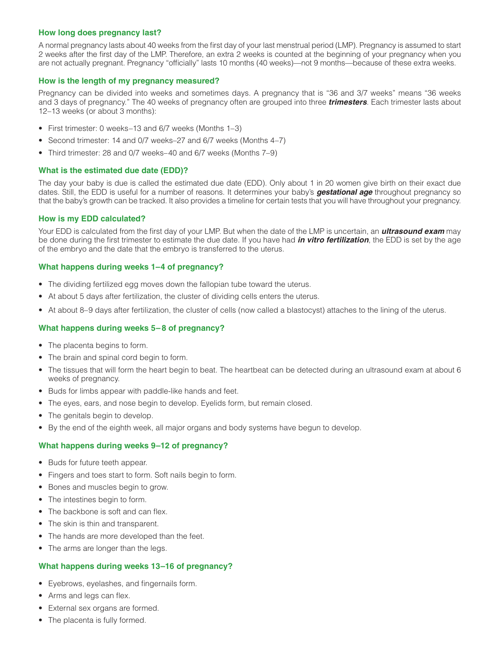### **How long does pregnancy last?**

A normal pregnancy lasts about 40 weeks from the first day of your last menstrual period (LMP). Pregnancy is assumed to start 2 weeks after the first day of the LMP. Therefore, an extra 2 weeks is counted at the beginning of your pregnancy when you are not actually pregnant. Pregnancy "officially" lasts 10 months (40 weeks)—not 9 months—because of these extra weeks.

#### **How is the length of my pregnancy measured?**

Pregnancy can be divided into weeks and sometimes days. A pregnancy that is "36 and 3/7 weeks" means "36 weeks and 3 days of pregnancy." The 40 weeks of pregnancy often are grouped into three *trimesters*. Each trimester lasts about 12–13 weeks (or about 3 months):

- First trimester: 0 weeks–13 and 6/7 weeks (Months 1–3)
- Second trimester: 14 and 0/7 weeks–27 and 6/7 weeks (Months 4–7)
- Third trimester: 28 and 0/7 weeks–40 and 6/7 weeks (Months 7–9)

## **What is the estimated due date (EDD)?**

The day your baby is due is called the estimated due date (EDD). Only about 1 in 20 women give birth on their exact due dates. Still, the EDD is useful for a number of reasons. It determines your baby's *gestational age* throughout pregnancy so that the baby's growth can be tracked. It also provides a timeline for certain tests that you will have throughout your pregnancy.

## **How is my EDD calculated?**

Your EDD is calculated from the first day of your LMP. But when the date of the LMP is uncertain, an *ultrasound exam* may be done during the first trimester to estimate the due date. If you have had *in vitro fertilization*, the EDD is set by the age of the embryo and the date that the embryo is transferred to the uterus.

#### **What happens during weeks 1–4 of pregnancy?**

- The dividing fertilized egg moves down the fallopian tube toward the uterus.
- At about 5 days after fertilization, the cluster of dividing cells enters the uterus.
- At about 8–9 days after fertilization, the cluster of cells (now called a blastocyst) attaches to the lining of the uterus.

## **What happens during weeks 5– 8 of pregnancy?**

- The placenta begins to form.
- The brain and spinal cord begin to form.
- The tissues that will form the heart begin to beat. The heartbeat can be detected during an ultrasound exam at about 6 weeks of pregnancy.
- Buds for limbs appear with paddle-like hands and feet.
- The eyes, ears, and nose begin to develop. Eyelids form, but remain closed.
- The genitals begin to develop.
- By the end of the eighth week, all major organs and body systems have begun to develop.

## **What happens during weeks 9–12 of pregnancy?**

- Buds for future teeth appear.
- Fingers and toes start to form. Soft nails begin to form.
- Bones and muscles begin to grow.
- The intestines begin to form.
- The backbone is soft and can flex.
- The skin is thin and transparent.
- The hands are more developed than the feet.
- The arms are longer than the legs.

## **What happens during weeks 13–16 of pregnancy?**

- Eyebrows, eyelashes, and fingernails form.
- Arms and legs can flex.
- External sex organs are formed.
- The placenta is fully formed.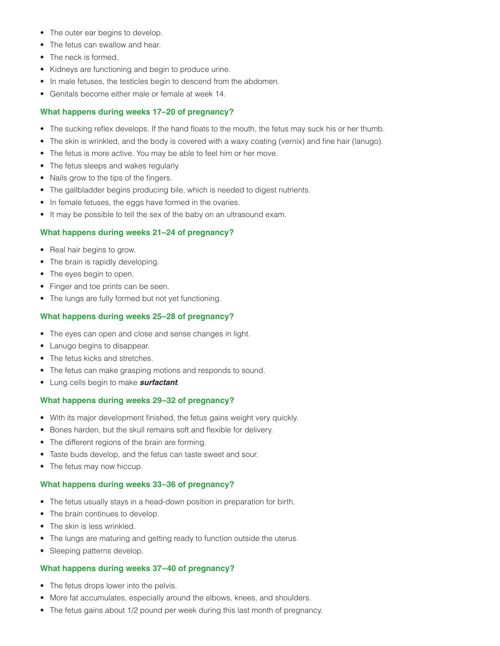- The outer ear begins to develop.
- The fetus can swallow and hear.
- The neck is formed.
- Kidneys are functioning and begin to produce urine.
- In male fetuses, the testicles begin to descend from the abdomen.
- Genitals become either male or female at week 14.

# **What happens during weeks 17–20 of pregnancy?**

- The sucking reflex develops. If the hand floats to the mouth, the fetus may suck his or her thumb.
- The skin is wrinkled, and the body is covered with a waxy coating (vernix) and fine hair (lanugo).
- The fetus is more active. You may be able to feel him or her move.
- The fetus sleeps and wakes regularly.
- Nails grow to the tips of the fingers.
- The gallbladder begins producing bile, which is needed to digest nutrients.
- In female fetuses, the eggs have formed in the ovaries.
- It may be possible to tell the sex of the baby on an ultrasound exam.

## **What happens during weeks 21–24 of pregnancy?**

- Real hair begins to grow.
- The brain is rapidly developing.
- The eyes begin to open.
- Finger and toe prints can be seen.
- The lungs are fully formed but not yet functioning.

## **What happens during weeks 25–28 of pregnancy?**

- The eyes can open and close and sense changes in light.
- Lanugo begins to disappear.
- The fetus kicks and stretches.
- The fetus can make grasping motions and responds to sound.
- Lung cells begin to make *surfactant*.

## **What happens during weeks 29–32 of pregnancy?**

- With its major development finished, the fetus gains weight very quickly.
- Bones harden, but the skull remains soft and flexible for delivery.
- The different regions of the brain are forming.
- Taste buds develop, and the fetus can taste sweet and sour.
- The fetus may now hiccup.

## **What happens during weeks 33–36 of pregnancy?**

- The fetus usually stays in a head-down position in preparation for birth.
- The brain continues to develop.
- The skin is less wrinkled.
- The lungs are maturing and getting ready to function outside the uterus.
- Sleeping patterns develop.

## **What happens during weeks 37–40 of pregnancy?**

- The fetus drops lower into the pelvis.
- More fat accumulates, especially around the elbows, knees, and shoulders.
- The fetus gains about 1/2 pound per week during this last month of pregnancy.